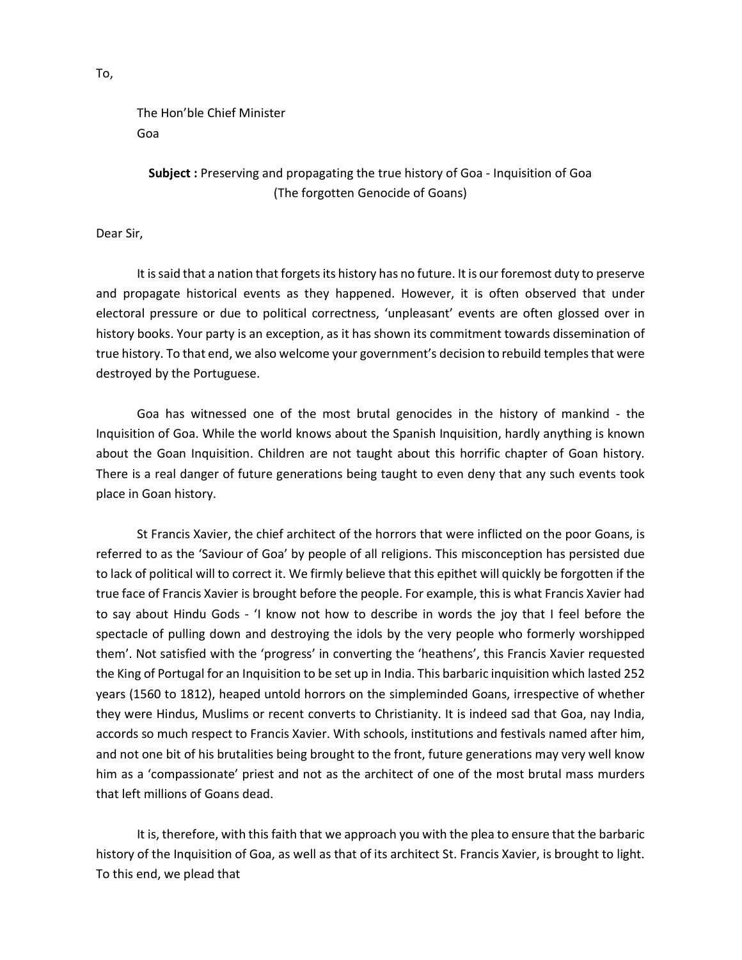The Hon'ble Chief Minister Goa

Subject : Preserving and propagating the true history of Goa - Inquisition of Goa (The forgotten Genocide of Goans)

Dear Sir,

 It is said that a nation that forgets its history has no future. It is our foremost duty to preserve and propagate historical events as they happened. However, it is often observed that under electoral pressure or due to political correctness, 'unpleasant' events are often glossed over in history books. Your party is an exception, as it has shown its commitment towards dissemination of true history. To that end, we also welcome your government's decision to rebuild temples that were destroyed by the Portuguese.

 Goa has witnessed one of the most brutal genocides in the history of mankind - the Inquisition of Goa. While the world knows about the Spanish Inquisition, hardly anything is known about the Goan Inquisition. Children are not taught about this horrific chapter of Goan history. There is a real danger of future generations being taught to even deny that any such events took place in Goan history.

 St Francis Xavier, the chief architect of the horrors that were inflicted on the poor Goans, is referred to as the 'Saviour of Goa' by people of all religions. This misconception has persisted due to lack of political will to correct it. We firmly believe that this epithet will quickly be forgotten if the true face of Francis Xavier is brought before the people. For example, this is what Francis Xavier had to say about Hindu Gods - 'I know not how to describe in words the joy that I feel before the spectacle of pulling down and destroying the idols by the very people who formerly worshipped them'. Not satisfied with the 'progress' in converting the 'heathens', this Francis Xavier requested the King of Portugal for an Inquisition to be set up in India. This barbaric inquisition which lasted 252 years (1560 to 1812), heaped untold horrors on the simpleminded Goans, irrespective of whether they were Hindus, Muslims or recent converts to Christianity. It is indeed sad that Goa, nay India, accords so much respect to Francis Xavier. With schools, institutions and festivals named after him, and not one bit of his brutalities being brought to the front, future generations may very well know him as a 'compassionate' priest and not as the architect of one of the most brutal mass murders that left millions of Goans dead.

 It is, therefore, with this faith that we approach you with the plea to ensure that the barbaric history of the Inquisition of Goa, as well as that of its architect St. Francis Xavier, is brought to light. To this end, we plead that